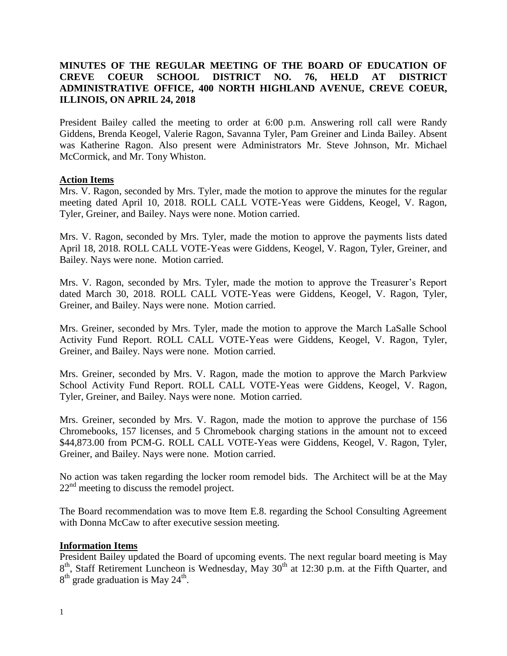# **MINUTES OF THE REGULAR MEETING OF THE BOARD OF EDUCATION OF CREVE COEUR SCHOOL DISTRICT NO. 76, HELD AT DISTRICT ADMINISTRATIVE OFFICE, 400 NORTH HIGHLAND AVENUE, CREVE COEUR, ILLINOIS, ON APRIL 24, 2018**

President Bailey called the meeting to order at 6:00 p.m. Answering roll call were Randy Giddens, Brenda Keogel, Valerie Ragon, Savanna Tyler, Pam Greiner and Linda Bailey. Absent was Katherine Ragon. Also present were Administrators Mr. Steve Johnson, Mr. Michael McCormick, and Mr. Tony Whiston.

### **Action Items**

Mrs. V. Ragon, seconded by Mrs. Tyler, made the motion to approve the minutes for the regular meeting dated April 10, 2018. ROLL CALL VOTE-Yeas were Giddens, Keogel, V. Ragon, Tyler, Greiner, and Bailey. Nays were none. Motion carried.

Mrs. V. Ragon, seconded by Mrs. Tyler, made the motion to approve the payments lists dated April 18, 2018. ROLL CALL VOTE-Yeas were Giddens, Keogel, V. Ragon, Tyler, Greiner, and Bailey. Nays were none. Motion carried.

Mrs. V. Ragon, seconded by Mrs. Tyler, made the motion to approve the Treasurer's Report dated March 30, 2018. ROLL CALL VOTE-Yeas were Giddens, Keogel, V. Ragon, Tyler, Greiner, and Bailey. Nays were none. Motion carried.

Mrs. Greiner, seconded by Mrs. Tyler, made the motion to approve the March LaSalle School Activity Fund Report. ROLL CALL VOTE-Yeas were Giddens, Keogel, V. Ragon, Tyler, Greiner, and Bailey. Nays were none. Motion carried.

Mrs. Greiner, seconded by Mrs. V. Ragon, made the motion to approve the March Parkview School Activity Fund Report. ROLL CALL VOTE-Yeas were Giddens, Keogel, V. Ragon, Tyler, Greiner, and Bailey. Nays were none. Motion carried.

Mrs. Greiner, seconded by Mrs. V. Ragon, made the motion to approve the purchase of 156 Chromebooks, 157 licenses, and 5 Chromebook charging stations in the amount not to exceed \$44,873.00 from PCM-G. ROLL CALL VOTE-Yeas were Giddens, Keogel, V. Ragon, Tyler, Greiner, and Bailey. Nays were none. Motion carried.

No action was taken regarding the locker room remodel bids. The Architect will be at the May  $22<sup>nd</sup>$  meeting to discuss the remodel project.

The Board recommendation was to move Item E.8. regarding the School Consulting Agreement with Donna McCaw to after executive session meeting.

#### **Information Items**

President Bailey updated the Board of upcoming events. The next regular board meeting is May 8<sup>th</sup>, Staff Retirement Luncheon is Wednesday, May 30<sup>th</sup> at 12:30 p.m. at the Fifth Quarter, and  $8<sup>th</sup>$  grade graduation is May 24<sup>th</sup>.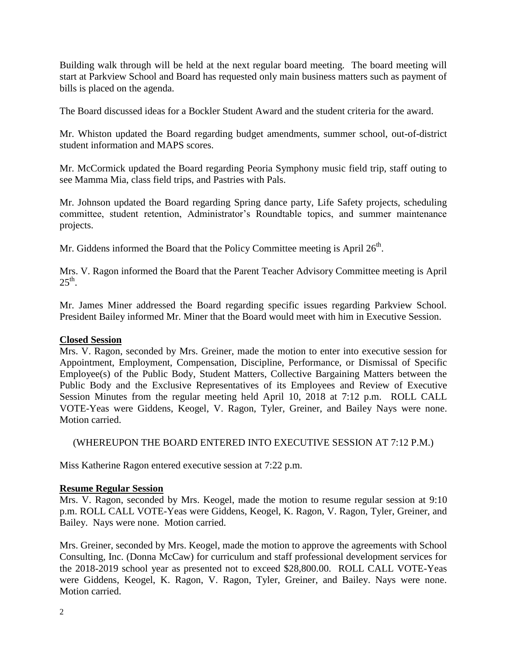Building walk through will be held at the next regular board meeting. The board meeting will start at Parkview School and Board has requested only main business matters such as payment of bills is placed on the agenda.

The Board discussed ideas for a Bockler Student Award and the student criteria for the award.

Mr. Whiston updated the Board regarding budget amendments, summer school, out-of-district student information and MAPS scores.

Mr. McCormick updated the Board regarding Peoria Symphony music field trip, staff outing to see Mamma Mia, class field trips, and Pastries with Pals.

Mr. Johnson updated the Board regarding Spring dance party, Life Safety projects, scheduling committee, student retention, Administrator's Roundtable topics, and summer maintenance projects.

Mr. Giddens informed the Board that the Policy Committee meeting is April  $26<sup>th</sup>$ .

Mrs. V. Ragon informed the Board that the Parent Teacher Advisory Committee meeting is April  $25^{\text{th}}$ .

Mr. James Miner addressed the Board regarding specific issues regarding Parkview School. President Bailey informed Mr. Miner that the Board would meet with him in Executive Session.

## **Closed Session**

Mrs. V. Ragon, seconded by Mrs. Greiner, made the motion to enter into executive session for Appointment, Employment, Compensation, Discipline, Performance, or Dismissal of Specific Employee(s) of the Public Body, Student Matters, Collective Bargaining Matters between the Public Body and the Exclusive Representatives of its Employees and Review of Executive Session Minutes from the regular meeting held April 10, 2018 at 7:12 p.m. ROLL CALL VOTE-Yeas were Giddens, Keogel, V. Ragon, Tyler, Greiner, and Bailey Nays were none. Motion carried.

(WHEREUPON THE BOARD ENTERED INTO EXECUTIVE SESSION AT 7:12 P.M.)

Miss Katherine Ragon entered executive session at 7:22 p.m.

#### **Resume Regular Session**

Mrs. V. Ragon, seconded by Mrs. Keogel, made the motion to resume regular session at 9:10 p.m. ROLL CALL VOTE-Yeas were Giddens, Keogel, K. Ragon, V. Ragon, Tyler, Greiner, and Bailey. Nays were none. Motion carried.

Mrs. Greiner, seconded by Mrs. Keogel, made the motion to approve the agreements with School Consulting, Inc. (Donna McCaw) for curriculum and staff professional development services for the 2018-2019 school year as presented not to exceed \$28,800.00. ROLL CALL VOTE-Yeas were Giddens, Keogel, K. Ragon, V. Ragon, Tyler, Greiner, and Bailey. Nays were none. Motion carried.